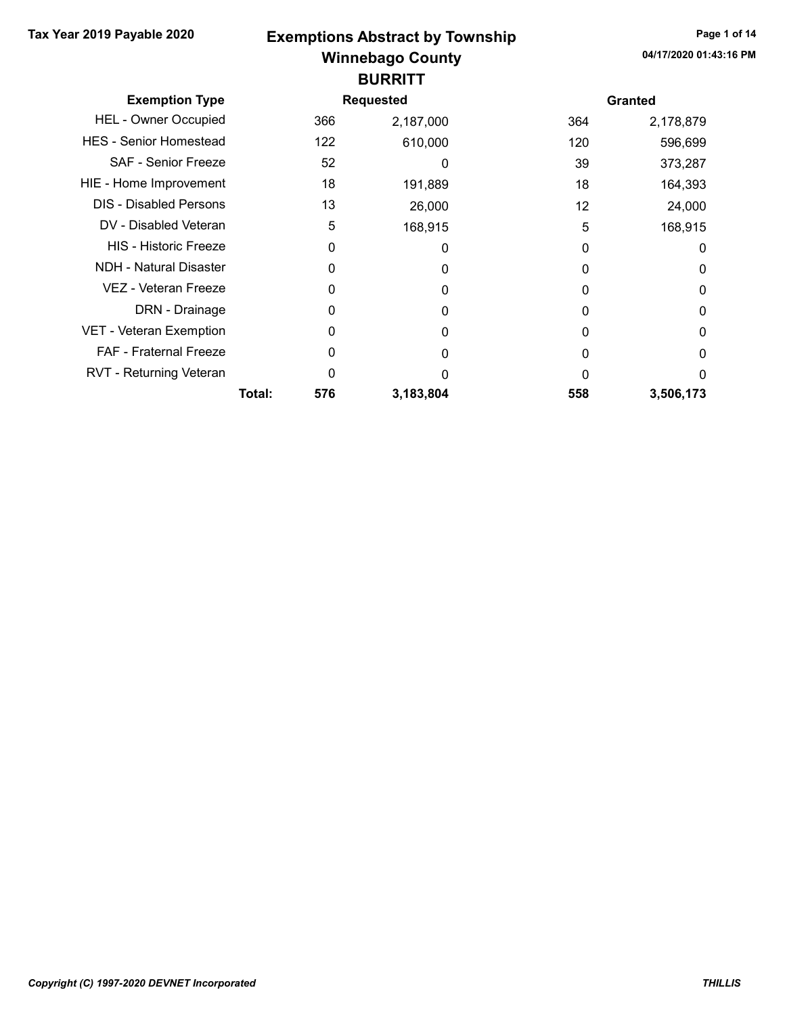#### Winnebago County Tax Year 2019 Payable 2020 **Exemptions Abstract by Township** Page 1 of 14 **BURRITT**

| <b>Exemption Type</b>         |        |     | <b>Requested</b> |     | <b>Granted</b> |
|-------------------------------|--------|-----|------------------|-----|----------------|
| <b>HEL - Owner Occupied</b>   |        | 366 | 2,187,000        | 364 | 2,178,879      |
| <b>HES</b> - Senior Homestead |        | 122 | 610,000          | 120 | 596,699        |
| SAF - Senior Freeze           |        | 52  | 0                | 39  | 373,287        |
| HIE - Home Improvement        |        | 18  | 191,889          | 18  | 164,393        |
| <b>DIS - Disabled Persons</b> |        | 13  | 26,000           | 12  | 24,000         |
| DV - Disabled Veteran         |        | 5   | 168,915          | 5   | 168,915        |
| <b>HIS - Historic Freeze</b>  |        | 0   | 0                | 0   | 0              |
| NDH - Natural Disaster        |        | O   | 0                | 0   | 0              |
| VEZ - Veteran Freeze          |        | 0   | 0                | 0   | $\Omega$       |
| DRN - Drainage                |        | 0   | 0                | 0   | 0              |
| VET - Veteran Exemption       |        | 0   | 0                | 0   | 0              |
| FAF - Fraternal Freeze        |        | O   | 0                | 0   | 0              |
| RVT - Returning Veteran       |        | 0   | ი                | ŋ   | 0              |
|                               | Total: | 576 | 3,183,804        | 558 | 3,506,173      |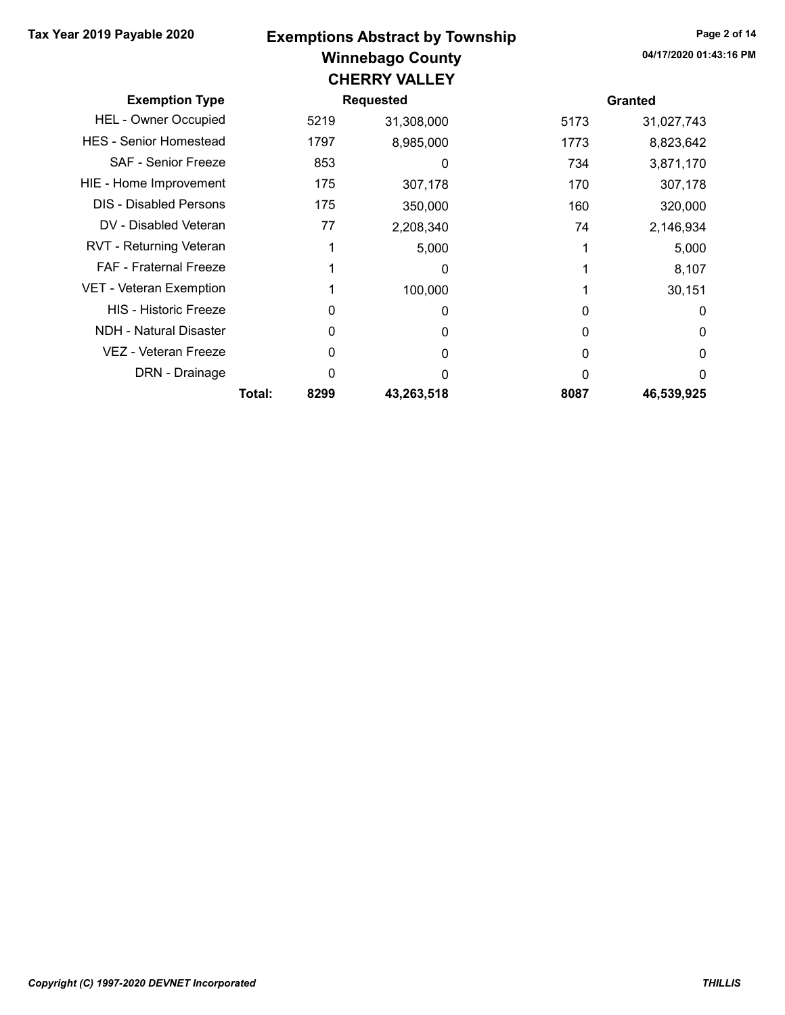#### Winnebago County Tax Year 2019 Payable 2020 **Exemptions Abstract by Township** Page 2 of 14 CHERRY VALLEY

| <b>Exemption Type</b>          |        |      | <b>Requested</b> |      | <b>Granted</b> |
|--------------------------------|--------|------|------------------|------|----------------|
| <b>HEL - Owner Occupied</b>    |        | 5219 | 31,308,000       | 5173 | 31,027,743     |
| <b>HES - Senior Homestead</b>  |        | 1797 | 8,985,000        | 1773 | 8,823,642      |
| <b>SAF - Senior Freeze</b>     |        | 853  | 0                | 734  | 3,871,170      |
| HIE - Home Improvement         |        | 175  | 307,178          | 170  | 307,178        |
| <b>DIS - Disabled Persons</b>  |        | 175  | 350,000          | 160  | 320,000        |
| DV - Disabled Veteran          |        | 77   | 2,208,340        | 74   | 2,146,934      |
| RVT - Returning Veteran        |        |      | 5,000            |      | 5,000          |
| <b>FAF - Fraternal Freeze</b>  |        |      | 0                |      | 8,107          |
| <b>VET - Veteran Exemption</b> |        |      | 100,000          |      | 30,151         |
| <b>HIS - Historic Freeze</b>   |        | O    | 0                |      | 0              |
| <b>NDH - Natural Disaster</b>  |        | 0    | 0                | 0    | $\mathbf{0}$   |
| VEZ - Veteran Freeze           |        | O    | 0                | 0    | 0              |
| DRN - Drainage                 |        | 0    | 0                | O    | 0              |
|                                | Total: | 8299 | 43,263,518       | 8087 | 46,539,925     |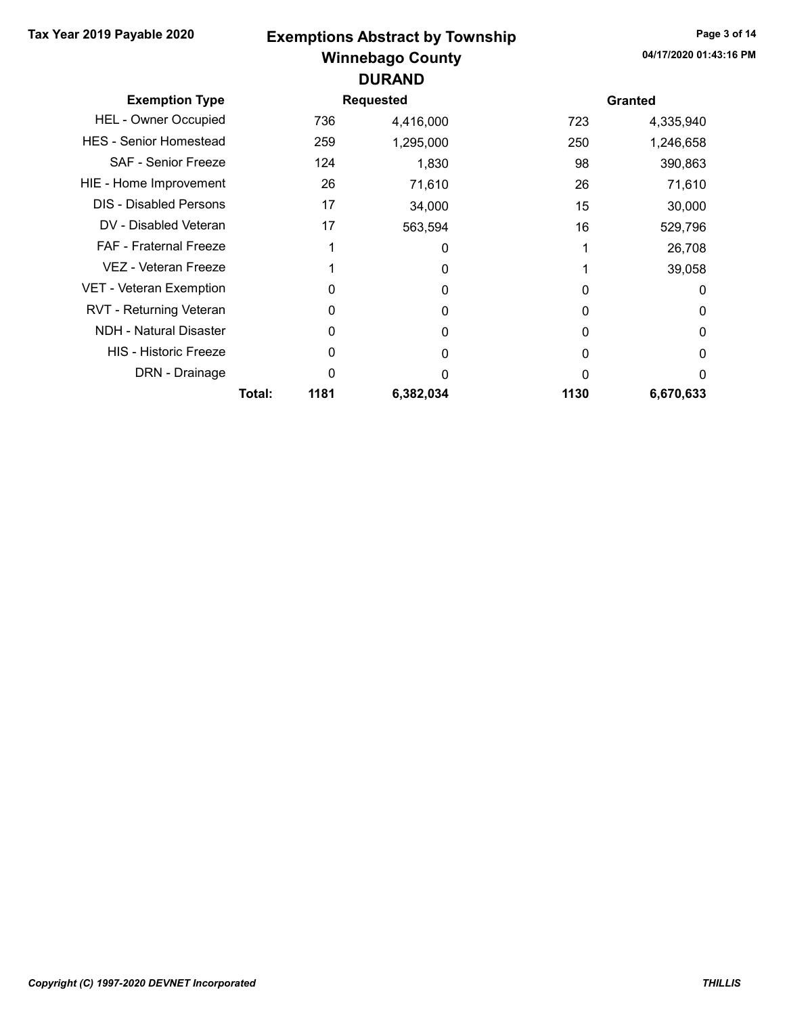# Winnebago County Tax Year 2019 Payable 2020 Exemptions Abstract by Township Page 3 of 14 DURAND

| <b>Exemption Type</b>          |        |      | <b>Requested</b> |      | <b>Granted</b> |
|--------------------------------|--------|------|------------------|------|----------------|
| <b>HEL - Owner Occupied</b>    |        | 736  | 4,416,000        | 723  | 4,335,940      |
| <b>HES - Senior Homestead</b>  |        | 259  | 1,295,000        | 250  | 1,246,658      |
| SAF - Senior Freeze            |        | 124  | 1,830            | 98   | 390,863        |
| HIE - Home Improvement         |        | 26   | 71,610           | 26   | 71,610         |
| <b>DIS</b> - Disabled Persons  |        | 17   | 34,000           | 15   | 30,000         |
| DV - Disabled Veteran          |        | 17   | 563,594          | 16   | 529,796        |
| <b>FAF</b> - Fraternal Freeze  |        |      | $\Omega$         |      | 26,708         |
| VEZ - Veteran Freeze           |        |      | O                |      | 39,058         |
| <b>VET - Veteran Exemption</b> |        | 0    | 0                | 0    | 0              |
| RVT - Returning Veteran        |        | 0    | O                | 0    | 0              |
| <b>NDH - Natural Disaster</b>  |        | 0    | 0                | 0    | 0              |
| <b>HIS - Historic Freeze</b>   |        | 0    | O                | 0    | 0              |
| DRN - Drainage                 |        | 0    | 0                | O    | 0              |
|                                | Total: | 1181 | 6,382,034        | 1130 | 6,670,633      |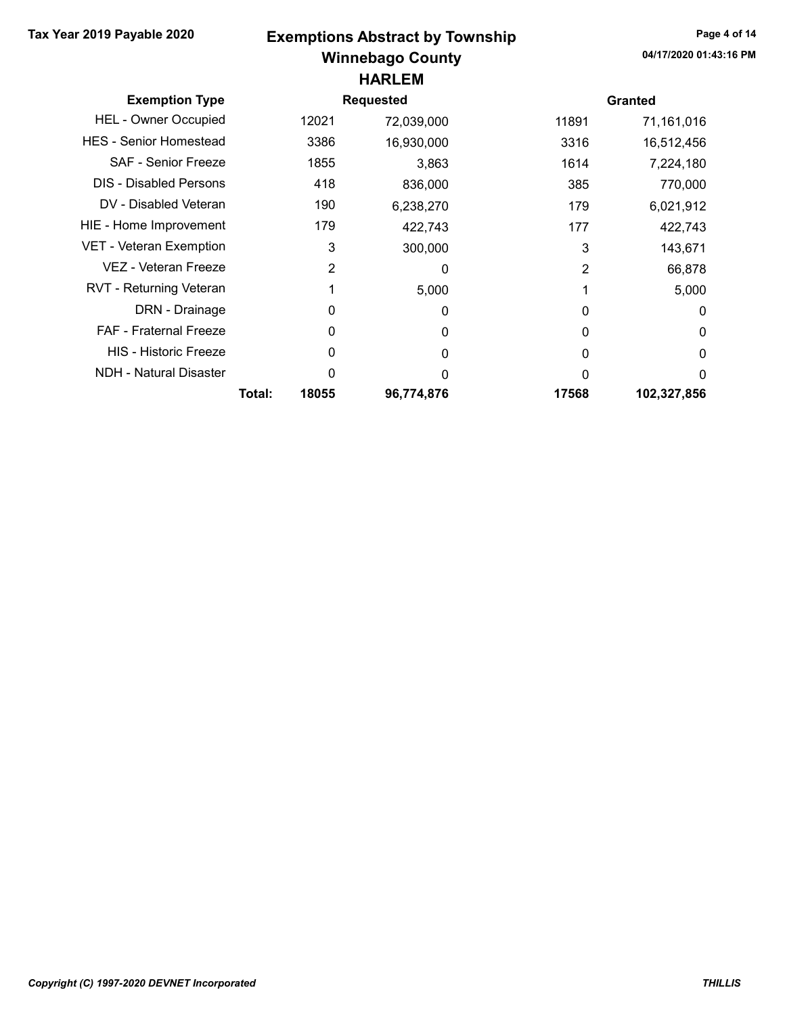# Winnebago County Tax Year 2019 Payable 2020 **Exemptions Abstract by Township** Page 4 of 14 HARLEM

| <b>Exemption Type</b>          |        |          | Requested  |       | <b>Granted</b> |
|--------------------------------|--------|----------|------------|-------|----------------|
| HEL - Owner Occupied           |        | 12021    | 72,039,000 | 11891 | 71,161,016     |
| <b>HES</b> - Senior Homestead  |        | 3386     | 16,930,000 | 3316  | 16,512,456     |
| <b>SAF - Senior Freeze</b>     |        | 1855     | 3,863      | 1614  | 7,224,180      |
| <b>DIS</b> - Disabled Persons  |        | 418      | 836,000    | 385   | 770,000        |
| DV - Disabled Veteran          |        | 190      | 6,238,270  | 179   | 6,021,912      |
| HIE - Home Improvement         |        | 179      | 422,743    | 177   | 422,743        |
| <b>VET - Veteran Exemption</b> |        | 3        | 300,000    | 3     | 143,671        |
| VEZ - Veteran Freeze           |        | 2        | 0          | 2     | 66,878         |
| RVT - Returning Veteran        |        |          | 5,000      |       | 5,000          |
| DRN - Drainage                 |        | 0        | 0          | 0     | 0              |
| <b>FAF</b> - Fraternal Freeze  |        | $\Omega$ | 0          | 0     | 0              |
| <b>HIS - Historic Freeze</b>   |        | 0        | 0          | 0     | 0              |
| <b>NDH - Natural Disaster</b>  |        | 0        | 0          | 0     | 0              |
|                                | Total: | 18055    | 96,774,876 | 17568 | 102,327,856    |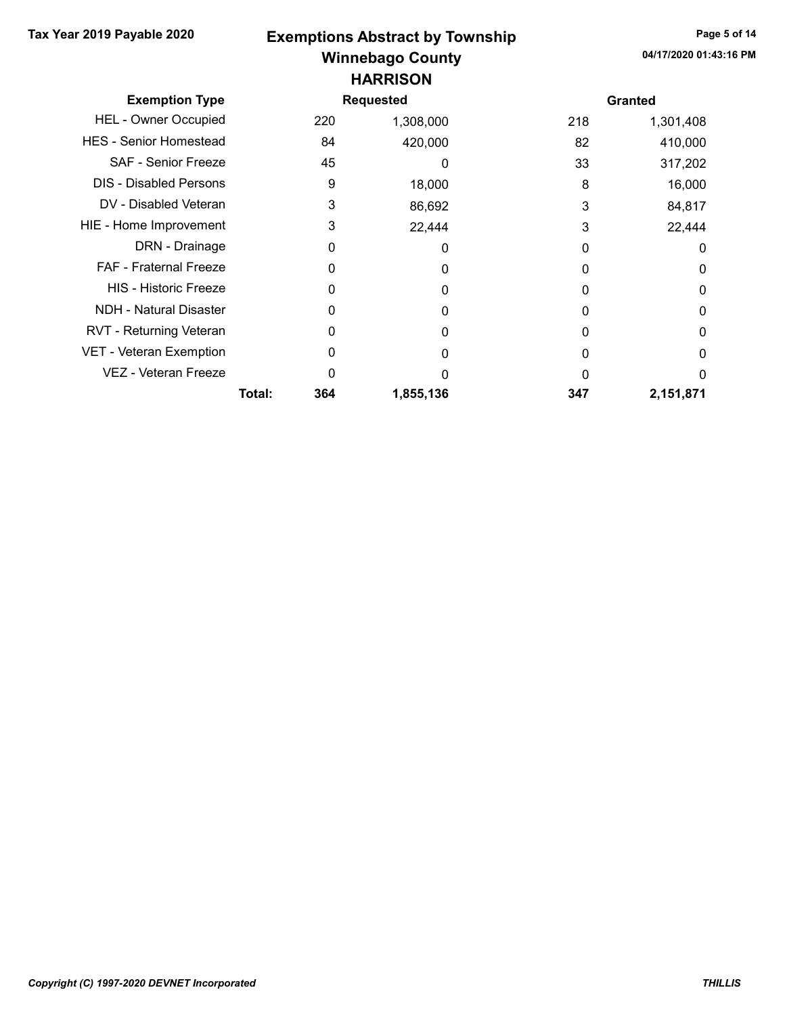## Winnebago County Tax Year 2019 Payable 2020 **Exemptions Abstract by Township** Page 5 of 14 **HARRISON**

| <b>Exemption Type</b>         |        |     | <b>Requested</b> |     | <b>Granted</b> |
|-------------------------------|--------|-----|------------------|-----|----------------|
| <b>HEL - Owner Occupied</b>   |        | 220 | 1,308,000        | 218 | 1,301,408      |
| <b>HES - Senior Homestead</b> |        | 84  | 420,000          | 82  | 410,000        |
| <b>SAF - Senior Freeze</b>    |        | 45  | 0                | 33  | 317,202        |
| <b>DIS - Disabled Persons</b> |        | 9   | 18,000           | 8   | 16,000         |
| DV - Disabled Veteran         |        | 3   | 86,692           | 3   | 84,817         |
| HIE - Home Improvement        |        | 3   | 22,444           | 3   | 22,444         |
| DRN - Drainage                |        | 0   | 0                | 0   | 0              |
| <b>FAF - Fraternal Freeze</b> |        | 0   |                  | 0   | 0              |
| <b>HIS - Historic Freeze</b>  |        | 0   | 0                | O   | 0              |
| <b>NDH - Natural Disaster</b> |        |     | O                | 0   | 0              |
| RVT - Returning Veteran       |        | 0   | O                | 0   | 0              |
| VET - Veteran Exemption       |        | ი   | O                | 0   | 0              |
| <b>VEZ - Veteran Freeze</b>   |        | 0   |                  | ი   | 0              |
|                               | Total: | 364 | 1,855,136        | 347 | 2,151,871      |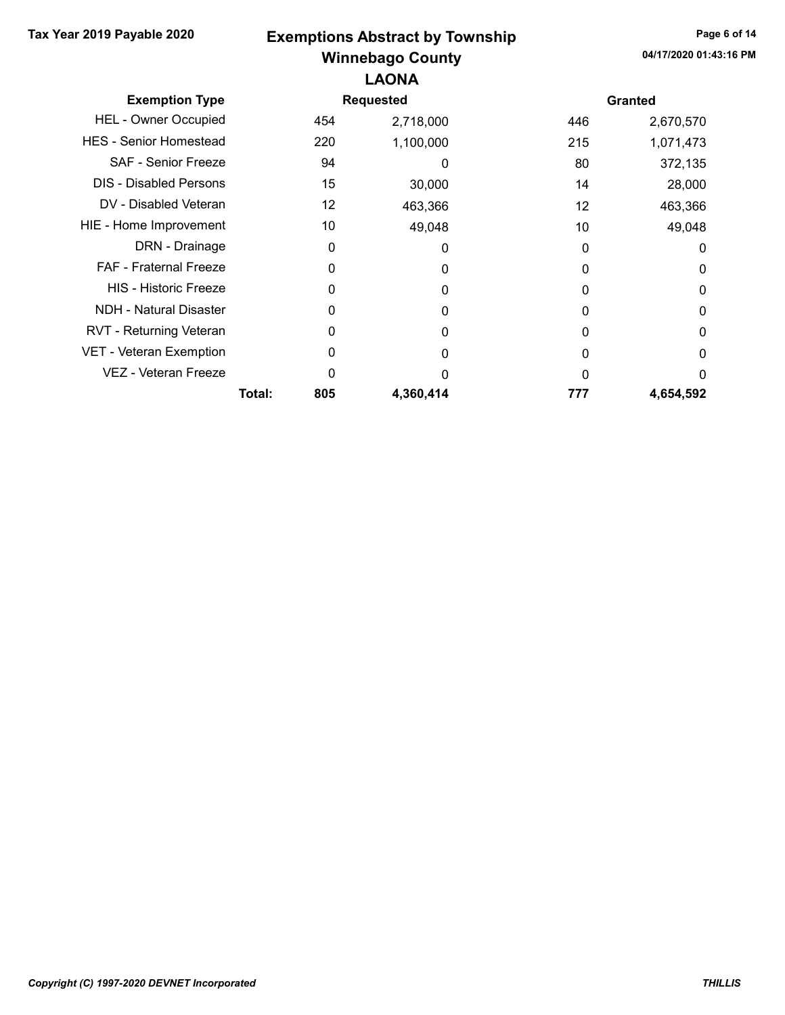#### Winnebago County Tax Year 2019 Payable 2020 Exemptions Abstract by Township Page 6 of 14 LAONA

| <b>Exemption Type</b>         |        |     | <b>Requested</b> |          | <b>Granted</b> |
|-------------------------------|--------|-----|------------------|----------|----------------|
| <b>HEL - Owner Occupied</b>   |        | 454 | 2,718,000        | 446      | 2,670,570      |
| <b>HES - Senior Homestead</b> |        | 220 | 1,100,000        | 215      | 1,071,473      |
| <b>SAF - Senior Freeze</b>    |        | 94  | 0                | 80       | 372,135        |
| <b>DIS</b> - Disabled Persons |        | 15  | 30,000           | 14       | 28,000         |
| DV - Disabled Veteran         |        | 12  | 463,366          | 12       | 463,366        |
| HIE - Home Improvement        |        | 10  | 49,048           | 10       | 49,048         |
| DRN - Drainage                |        | 0   | 0                | 0        | 0              |
| <b>FAF - Fraternal Freeze</b> |        | 0   | 0                | $\Omega$ | 0              |
| <b>HIS - Historic Freeze</b>  |        | 0   | 0                | 0        | 0              |
| <b>NDH - Natural Disaster</b> |        | 0   | 0                | $\Omega$ | 0              |
| RVT - Returning Veteran       |        | 0   | 0                | 0        | 0              |
| VET - Veteran Exemption       |        | 0   | 0                | 0        | 0              |
| VEZ - Veteran Freeze          |        | 0   | ი                | 0        | 0              |
|                               | Total: | 805 | 4,360,414        | 777      | 4,654,592      |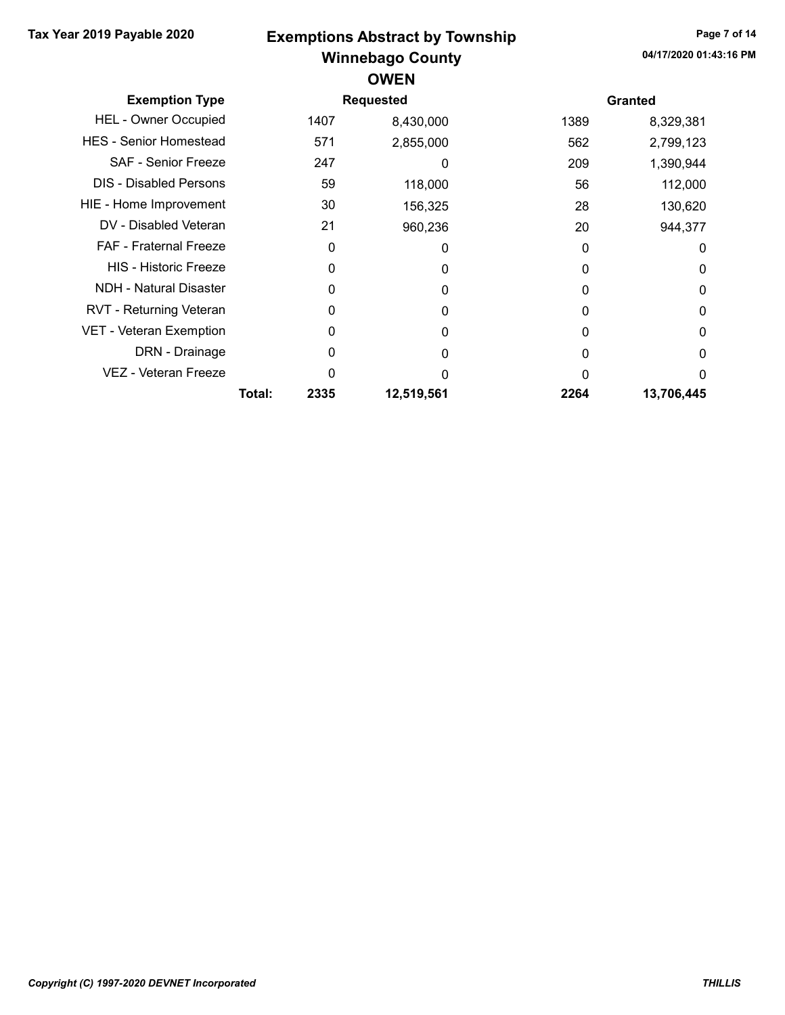### Winnebago County Tax Year 2019 Payable 2020 **Exemptions Abstract by Township** Page 7 of 14 OWEN

| <b>Exemption Type</b>         |        |      | <b>Requested</b> |      | <b>Granted</b> |
|-------------------------------|--------|------|------------------|------|----------------|
| <b>HEL - Owner Occupied</b>   |        | 1407 | 8,430,000        | 1389 | 8,329,381      |
| <b>HES</b> - Senior Homestead |        | 571  | 2,855,000        | 562  | 2,799,123      |
| <b>SAF - Senior Freeze</b>    |        | 247  | 0                | 209  | 1,390,944      |
| <b>DIS</b> - Disabled Persons |        | 59   | 118,000          | 56   | 112,000        |
| HIE - Home Improvement        |        | 30   | 156,325          | 28   | 130,620        |
| DV - Disabled Veteran         |        | 21   | 960,236          | 20   | 944,377        |
| <b>FAF</b> - Fraternal Freeze |        | 0    | 0                | 0    | 0              |
| <b>HIS - Historic Freeze</b>  |        | 0    | 0                | 0    | 0              |
| <b>NDH - Natural Disaster</b> |        | 0    | 0                | 0    | 0              |
| RVT - Returning Veteran       |        | O    | 0                | 0    | 0              |
| VET - Veteran Exemption       |        | 0    | 0                | 0    | 0              |
| DRN - Drainage                |        | O    | 0                | O    | 0              |
| VEZ - Veteran Freeze          |        | 0    | O                |      | 0              |
|                               | Total: | 2335 | 12,519,561       | 2264 | 13,706,445     |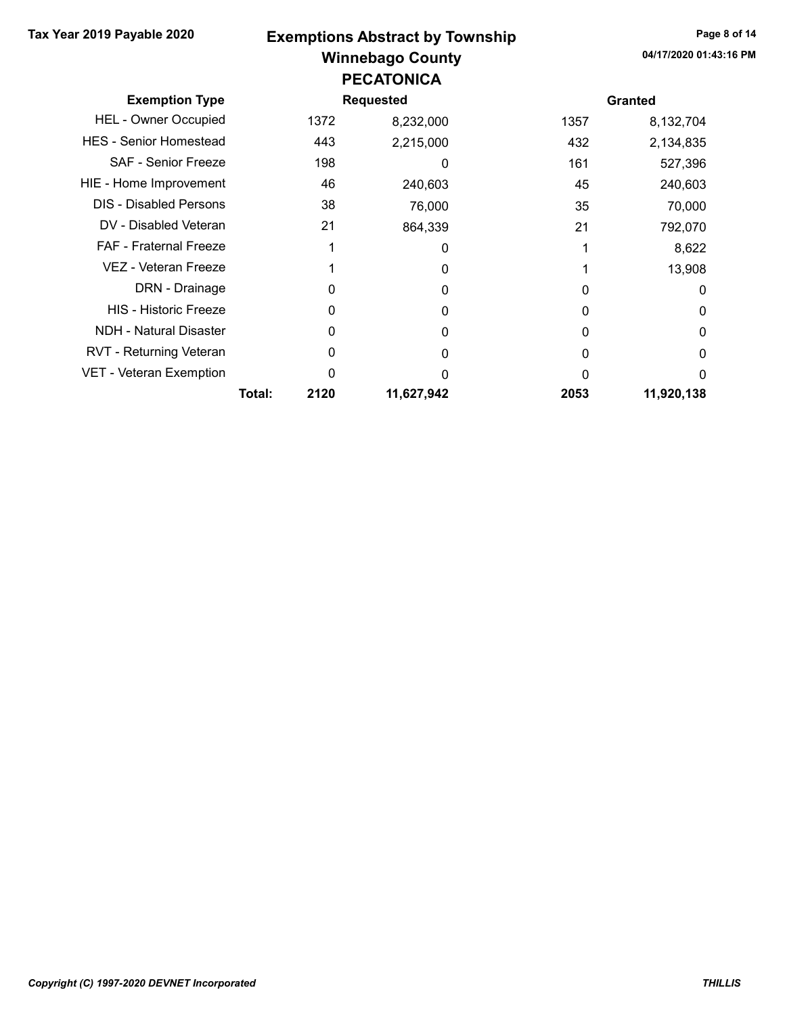#### Winnebago County Tax Year 2019 Payable 2020 **Exemptions Abstract by Township** Page 8 of 14 PECATONICA

|                                |        |      | LVNI VIIIVA      |      |                |
|--------------------------------|--------|------|------------------|------|----------------|
| <b>Exemption Type</b>          |        |      | <b>Requested</b> |      | <b>Granted</b> |
| <b>HEL - Owner Occupied</b>    |        | 1372 | 8,232,000        | 1357 | 8,132,704      |
| <b>HES</b> - Senior Homestead  |        | 443  | 2,215,000        | 432  | 2,134,835      |
| <b>SAF - Senior Freeze</b>     |        | 198  | O                | 161  | 527,396        |
| HIE - Home Improvement         |        | 46   | 240,603          | 45   | 240,603        |
| <b>DIS</b> - Disabled Persons  |        | 38   | 76,000           | 35   | 70,000         |
| DV - Disabled Veteran          |        | 21   | 864,339          | 21   | 792,070        |
| <b>FAF - Fraternal Freeze</b>  |        |      | 0                |      | 8,622          |
| VEZ - Veteran Freeze           |        |      | 0                |      | 13,908         |
| DRN - Drainage                 |        | 0    | 0                | U    | 0              |
| <b>HIS - Historic Freeze</b>   |        | 0    | O                |      | 0              |
| NDH - Natural Disaster         |        | 0    | 0                |      | 0              |
| RVT - Returning Veteran        |        | 0    | 0                | 0    | 0              |
| <b>VET - Veteran Exemption</b> |        | O    | ი                |      | 0              |
|                                | Total: | 2120 | 11,627,942       | 2053 | 11,920,138     |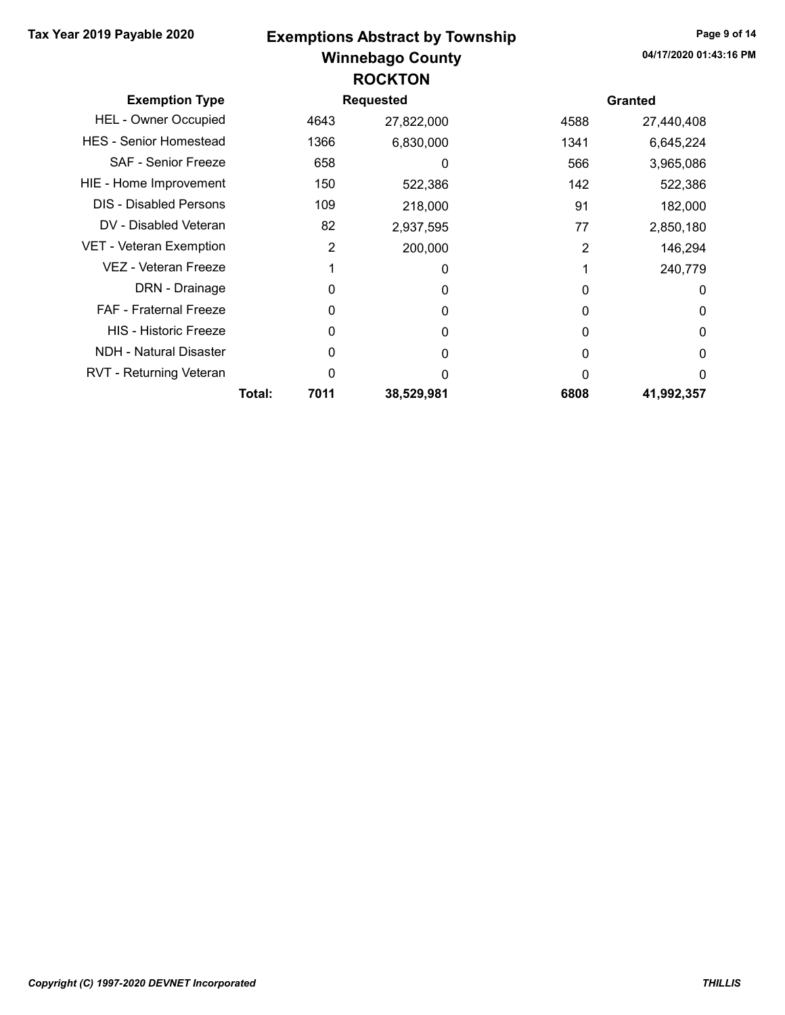### Winnebago County Tax Year 2019 Payable 2020 **Exemptions Abstract by Township** Page 9 of 14 **ROCKTON**

| <b>Exemption Type</b>         |        |      | <b>Requested</b> |      | <b>Granted</b> |
|-------------------------------|--------|------|------------------|------|----------------|
| <b>HEL - Owner Occupied</b>   |        | 4643 | 27,822,000       | 4588 | 27,440,408     |
| <b>HES - Senior Homestead</b> |        | 1366 | 6,830,000        | 1341 | 6,645,224      |
| <b>SAF - Senior Freeze</b>    |        | 658  | 0                | 566  | 3,965,086      |
| HIE - Home Improvement        |        | 150  | 522,386          | 142  | 522,386        |
| <b>DIS - Disabled Persons</b> |        | 109  | 218,000          | 91   | 182,000        |
| DV - Disabled Veteran         |        | 82   | 2,937,595        | 77   | 2,850,180      |
| VET - Veteran Exemption       |        | 2    | 200,000          | 2    | 146,294        |
| VEZ - Veteran Freeze          |        |      | 0                |      | 240,779        |
| DRN - Drainage                |        | 0    | 0                | 0    | 0              |
| <b>FAF</b> - Fraternal Freeze |        | 0    | $\Omega$         | 0    | 0              |
| <b>HIS - Historic Freeze</b>  |        | 0    | $\Omega$         | 0    | 0              |
| <b>NDH - Natural Disaster</b> |        | 0    | $\Omega$         | 0    | 0              |
| RVT - Returning Veteran       |        | 0    | 0                | U    | 0              |
|                               | Total: | 7011 | 38,529,981       | 6808 | 41,992,357     |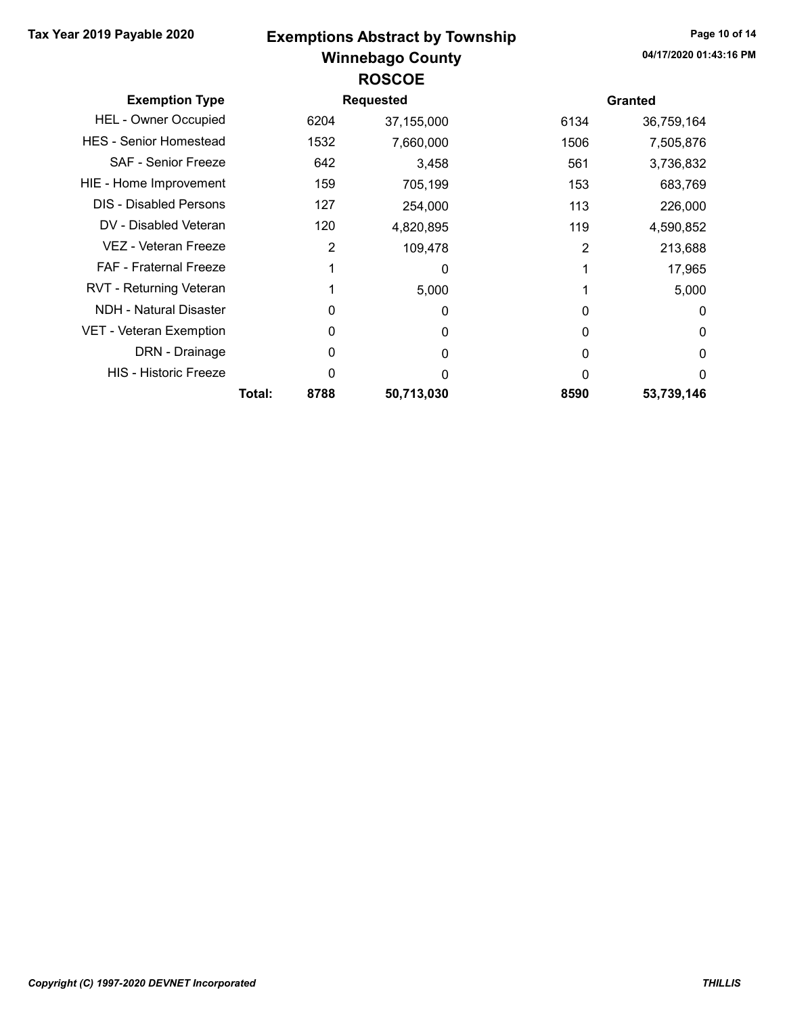## Winnebago County Tax Year 2019 Payable 2020 Exemptions Abstract by Township Page 10 of 14 ROSCOE

| <b>Exemption Type</b>         |        |      | <b>Requested</b> |      | <b>Granted</b> |
|-------------------------------|--------|------|------------------|------|----------------|
| <b>HEL - Owner Occupied</b>   |        | 6204 | 37,155,000       | 6134 | 36,759,164     |
| <b>HES - Senior Homestead</b> |        | 1532 | 7,660,000        | 1506 | 7,505,876      |
| <b>SAF - Senior Freeze</b>    |        | 642  | 3,458            | 561  | 3,736,832      |
| HIE - Home Improvement        |        | 159  | 705,199          | 153  | 683,769        |
| <b>DIS</b> - Disabled Persons |        | 127  | 254,000          | 113  | 226,000        |
| DV - Disabled Veteran         |        | 120  | 4,820,895        | 119  | 4,590,852      |
| VEZ - Veteran Freeze          |        | 2    | 109,478          | 2    | 213,688        |
| <b>FAF</b> - Fraternal Freeze |        |      | 0                |      | 17,965         |
| RVT - Returning Veteran       |        |      | 5,000            |      | 5,000          |
| NDH - Natural Disaster        |        | 0    | 0                | 0    | $\Omega$       |
| VET - Veteran Exemption       |        | 0    | 0                | 0    | $\Omega$       |
| DRN - Drainage                |        | 0    | 0                | O    | 0              |
| <b>HIS - Historic Freeze</b>  |        | 0    | 0                | O    | 0              |
|                               | Total: | 8788 | 50,713,030       | 8590 | 53,739,146     |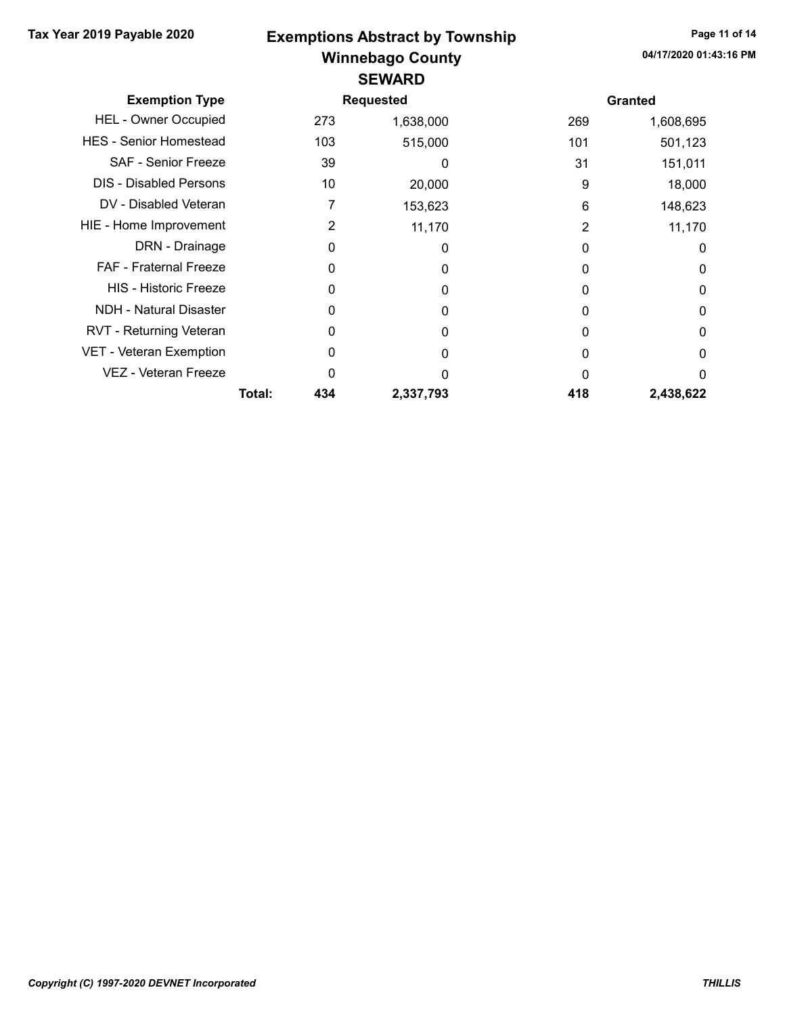### Winnebago County Tax Year 2019 Payable 2020 Exemptions Abstract by Township Page 11 of 14 SEWARD

| <b>Exemption Type</b>          |        |     | <b>Requested</b> |     | <b>Granted</b> |
|--------------------------------|--------|-----|------------------|-----|----------------|
| <b>HEL - Owner Occupied</b>    |        | 273 | 1,638,000        | 269 | 1,608,695      |
| <b>HES - Senior Homestead</b>  |        | 103 | 515,000          | 101 | 501,123        |
| <b>SAF - Senior Freeze</b>     |        | 39  | 0                | 31  | 151,011        |
| <b>DIS</b> - Disabled Persons  |        | 10  | 20,000           | 9   | 18,000         |
| DV - Disabled Veteran          |        |     | 153,623          | 6   | 148,623        |
| HIE - Home Improvement         |        | 2   | 11,170           | 2   | 11,170         |
| DRN - Drainage                 |        | 0   | 0                | 0   | 0              |
| FAF - Fraternal Freeze         |        | ი   | 0                | O   | 0              |
| <b>HIS - Historic Freeze</b>   |        | 0   | 0                | 0   | 0              |
| NDH - Natural Disaster         |        |     | 0                | O   | 0              |
| RVT - Returning Veteran        |        | 0   | 0                | 0   | 0              |
| <b>VET - Veteran Exemption</b> |        |     | 0                | O   | 0              |
| <b>VEZ - Veteran Freeze</b>    |        |     | O                | O   | 0              |
|                                | Total: | 434 | 2,337,793        | 418 | 2,438,622      |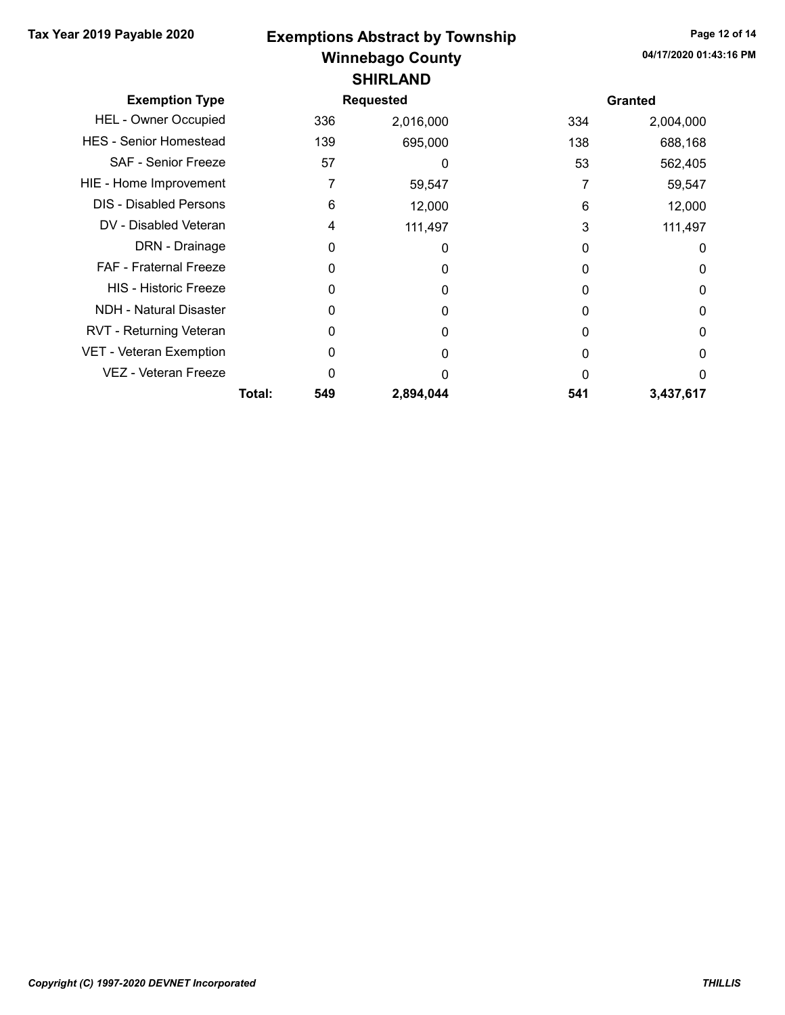#### Winnebago County Tax Year 2019 Payable 2020 Exemptions Abstract by Township Page 12 of 14 SHIRLAND

| <b>Exemption Type</b>          |        |     | <b>Requested</b> |     | <b>Granted</b> |
|--------------------------------|--------|-----|------------------|-----|----------------|
| <b>HEL - Owner Occupied</b>    |        | 336 | 2,016,000        | 334 | 2,004,000      |
| <b>HES - Senior Homestead</b>  |        | 139 | 695,000          | 138 | 688,168        |
| SAF - Senior Freeze            |        | 57  | 0                | 53  | 562,405        |
| HIE - Home Improvement         |        |     | 59,547           |     | 59,547         |
| <b>DIS - Disabled Persons</b>  |        | 6   | 12,000           | 6   | 12,000         |
| DV - Disabled Veteran          |        | 4   | 111,497          | 3   | 111,497        |
| DRN - Drainage                 |        | 0   | 0                | 0   | 0              |
| <b>FAF</b> - Fraternal Freeze  |        | O   | 0                | 0   | 0              |
| <b>HIS - Historic Freeze</b>   |        | O   | 0                | O   | 0              |
| <b>NDH - Natural Disaster</b>  |        | 0   | 0                | 0   | 0              |
| RVT - Returning Veteran        |        | 0   | 0                | O   | 0              |
| <b>VET - Veteran Exemption</b> |        | 0   | 0                | 0   | 0              |
| VEZ - Veteran Freeze           |        | O   |                  | n   | 0              |
|                                | Total: | 549 | 2,894,044        | 541 | 3,437,617      |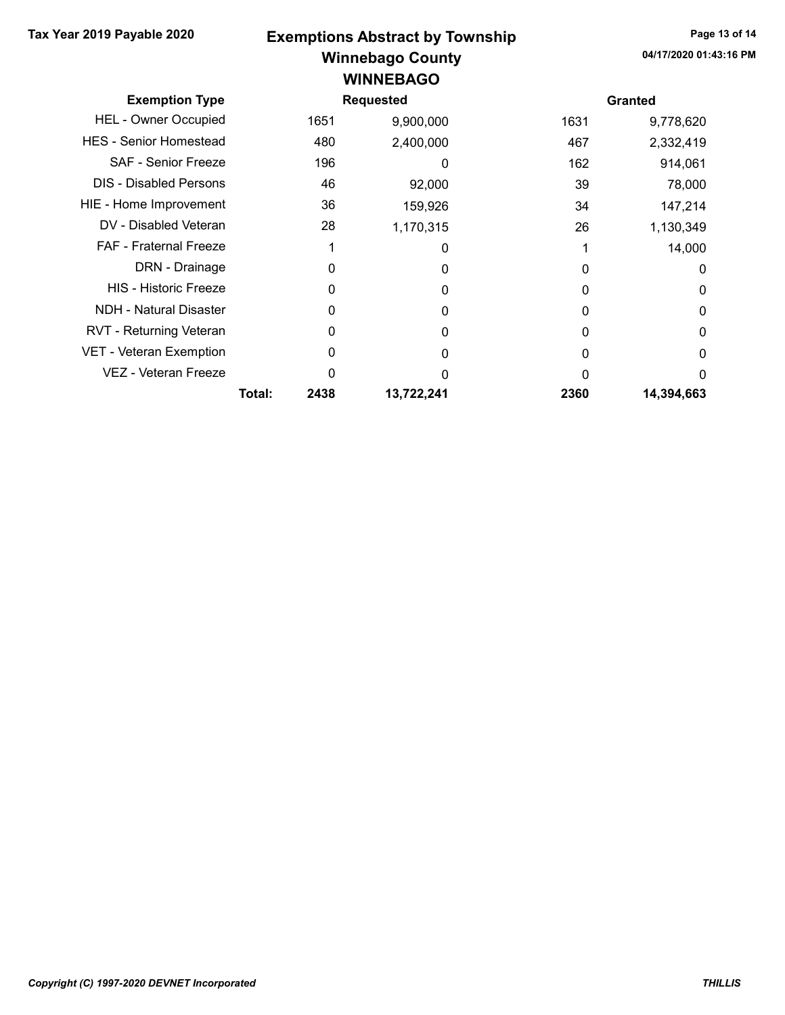#### Winnebago County Tax Year 2019 Payable 2020 Exemptions Abstract by Township Page 13 of 14 **WINNERAGO**

|                               |                  |      | WINNEDAGU  |                |            |
|-------------------------------|------------------|------|------------|----------------|------------|
| <b>Exemption Type</b>         | <b>Requested</b> |      |            | <b>Granted</b> |            |
| <b>HEL - Owner Occupied</b>   |                  | 1651 | 9,900,000  | 1631           | 9,778,620  |
| <b>HES - Senior Homestead</b> |                  | 480  | 2,400,000  | 467            | 2,332,419  |
| <b>SAF - Senior Freeze</b>    |                  | 196  | 0          | 162            | 914,061    |
| <b>DIS</b> - Disabled Persons |                  | 46   | 92,000     | 39             | 78,000     |
| HIE - Home Improvement        |                  | 36   | 159,926    | 34             | 147,214    |
| DV - Disabled Veteran         |                  | 28   | 1,170,315  | 26             | 1,130,349  |
| <b>FAF - Fraternal Freeze</b> |                  |      | 0          |                | 14,000     |
| DRN - Drainage                |                  | 0    | 0          | 0              | 0          |
| <b>HIS - Historic Freeze</b>  |                  | 0    | 0          | O              | 0          |
| NDH - Natural Disaster        |                  | 0    | 0          | 0              | 0          |
| RVT - Returning Veteran       |                  | 0    | 0          | 0              | 0          |
| VET - Veteran Exemption       |                  | 0    | 0          | 0              | 0          |
| VEZ - Veteran Freeze          |                  | 0    |            | 0              | 0          |
|                               | Total:           | 2438 | 13,722,241 | 2360           | 14,394,663 |
|                               |                  |      |            |                |            |